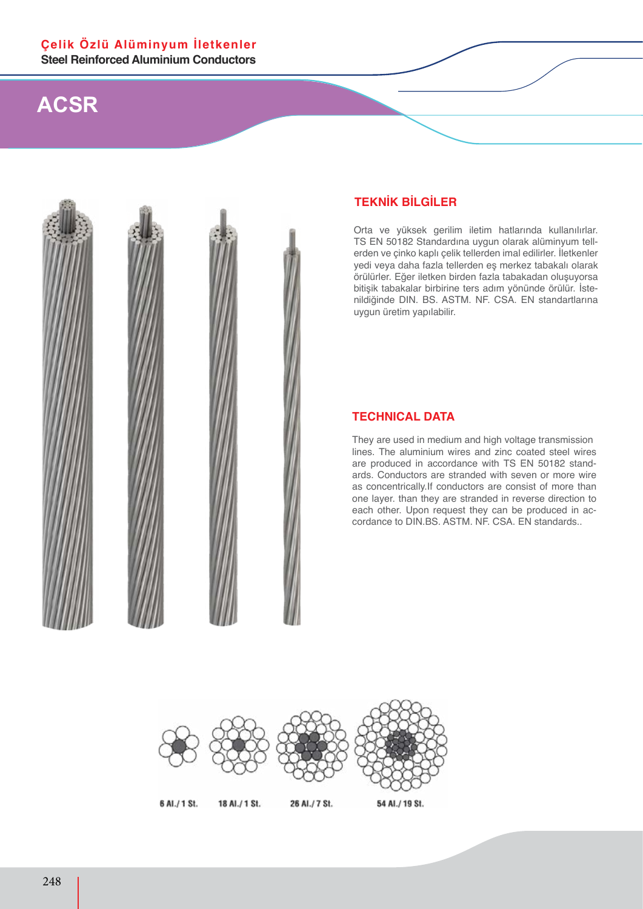

### **TEKNİK BİLGİLER**

Orta ve yüksek gerilim iletim hatlarında kullanılırlar. TS EN 50182 Standardına uygun olarak alüminyum tellerden ve çinko kaplı çelik tellerden imal edilirler. İletkenler yedi veya daha fazla tellerden eş merkez tabakalı olarak örülürler. Eğer iletken birden fazla tabakadan oluşuyorsa bitişik tabakalar birbirine ters adım yönünde örülür. İstenildiğinde DIN. BS. ASTM. NF. CSA. EN standartlarına uygun üretim yapılabilir.

#### **TECHNICAL DATA**

They are used in medium and high voltage transmission lines. The aluminium wires and zinc coated steel wires are produced in accordance with TS EN 50182 standards. Conductors are stranded with seven or more wire as concentrically.If conductors are consist of more than one layer. than they are stranded in reverse direction to each other. Upon request they can be produced in accordance to DIN.BS. ASTM. NF. CSA. EN standards..

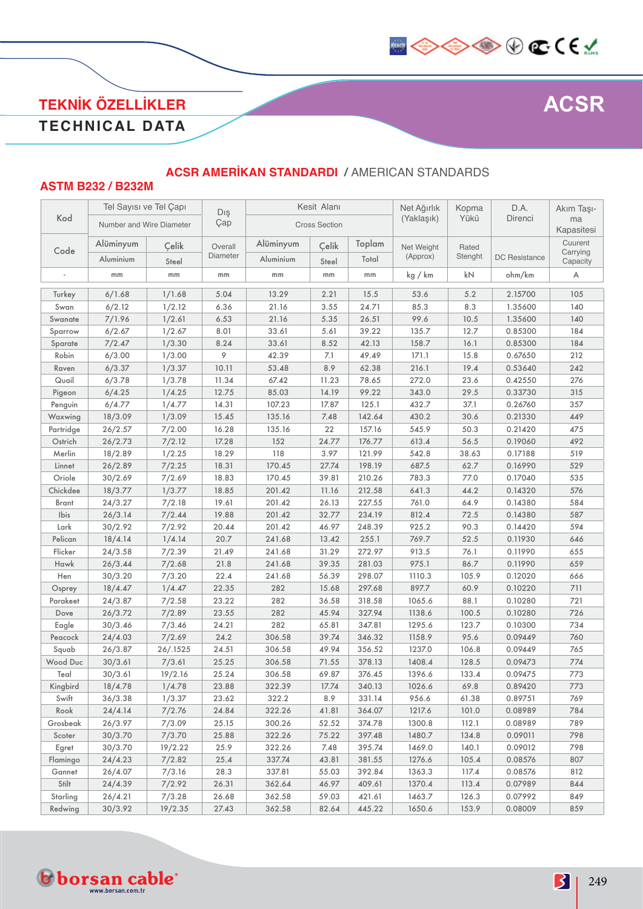

### **TEKNİK ÖZELLİKLER TECHNICAL DATA**

### **ASTM B232 / B232M ACSR AMERİKAN STANDARDI /** AMERICAN STANDARDS

|           | Tel Sayısı ve Tel Çapı   |          | Dış      |           | Kesit Alanı          |        | Net Ağırlık | Kopma   | D.A.                 | Akım Taşı-           |
|-----------|--------------------------|----------|----------|-----------|----------------------|--------|-------------|---------|----------------------|----------------------|
| Kod       | Number and Wire Diameter |          | Çap      |           | <b>Cross Section</b> |        | (Yaklaşık)  | Yükü    | Direnci              | ma<br>Kapasitesi     |
|           | Alüminyum                | Çelik    | Overall  | Alüminyum | Çelik                | Toplam | Net Weight  | Rated   |                      | Cuurent              |
| Code      | Aluminium                | Steel    | Diameter | Aluminium | Steel                | Total  | (Approx)    | Stenght | <b>DC</b> Resistance | Carrying<br>Capacity |
|           | mm                       | mm       | mm       | mm        | mm                   | mm     | kg / km     | kN      | ohm/km               | A                    |
| Turkey    | 6/1.68                   | 1/1.68   | 5.04     | 13.29     | 2.21                 | 15.5   | 53.6        | 5.2     | 2.15700              | 105                  |
| Swan      | 6/2.12                   | 1/2.12   | 6.36     | 21.16     | 3.55                 | 24.71  | 85.3        | 8.3     | 1.35600              | 140                  |
| Swanate   | 7/1.96                   | 1/2.61   | 6.53     | 21.16     | 5.35                 | 26.51  | 99.6        | 10.5    | 1.35600              | 140                  |
| Sparrow   | 6/2.67                   | 1/2.67   | 8.01     | 33.61     | 5.61                 | 39.22  | 135.7       | 12.7    | 0.85300              | 184                  |
| Sparate   | 7/2.47                   | 1/3.30   | 8.24     | 33.61     | 8.52                 | 42.13  | 158.7       | 16.1    | 0.85300              | 184                  |
| Robin     | 6/3.00                   | 1/3.00   | 9        | 42.39     | 7.1                  | 49.49  | 171.1       | 15.8    | 0.67650              | 212                  |
| Raven     | 6/3.37                   | 1/3.37   | 10.11    | 53.48     | 8.9                  | 62.38  | 216.1       | 19.4    | 0.53640              | 242                  |
| Quail     | 6/3.78                   | 1/3.78   | 11.34    | 67.42     | 11.23                | 78.65  | 272.0       | 23.6    | 0.42550              | 276                  |
| Pigeon    | 6/4.25                   | 1/4.25   | 12.75    | 85.03     | 14.19                | 99.22  | 343.0       | 29.5    | 0.33730              | 315                  |
| Penguin   | 6/4.77                   | 1/4.77   | 14.31    | 107.23    | 17.87                | 125.1  | 432.7       | 37.1    | 0.26760              | 357                  |
| Waxwing   | 18/3.09                  | 1/3.09   | 15.45    | 135.16    | 7.48                 | 142.64 | 430.2       | 30.6    | 0.21330              | 449                  |
| Partridge | 26/2.57                  | 7/2.00   | 16.28    | 135.16    | 22                   | 157.16 | 545.9       | 50.3    | 0.21420              | 475                  |
| Ostrich   | 26/2.73                  | 7/2.12   | 17.28    | 152       | 24.77                | 176.77 | 613.4       | 56.5    | 0.19060              | 492                  |
| Merlin    | 18/2.89                  | 1/2.25   | 18.29    | 118       | 3.97                 | 121.99 | 542.8       | 38.63   | 0.17188              | 519                  |
| Linnet    | 26/2.89                  | 7/2.25   | 18.31    | 170.45    | 27.74                | 198.19 | 687.5       | 62.7    | 0.16990              | 529                  |
| Oriole    | 30/2.69                  | 7/2.69   | 18.83    | 170.45    | 39.81                | 210.26 | 783.3       | 77.0    | 0.17040              | 535                  |
| Chickdee  | 18/3.77                  | 1/3.77   | 18.85    | 201.42    | 11.16                | 212.58 | 641.3       | 44.2    | 0.14320              | 576                  |
| Brant     | 24/3.27                  | 7/2.18   | 19.61    | 201.42    | 26.13                | 227.55 | 761.0       | 64.9    | 0.14380              | 584                  |
| Ibis      | 26/3.14                  | 7/2.44   | 19.88    | 201.42    | 32.77                | 234.19 | 812.4       | 72.5    | 0.14380              | 587                  |
| Lark      | 30/2.92                  | 7/2.92   | 20.44    | 201.42    | 46.97                | 248.39 | 925.2       | 90.3    | 0.14420              | 594                  |
| Pelican   | 18/4.14                  | 1/4.14   | 20.7     | 241.68    | 13.42                | 255.1  | 769.7       | 52.5    | 0.11930              | 646                  |
| Flicker   | 24/3.58                  | 7/2.39   | 21.49    | 241.68    | 31.29                | 272.97 | 913.5       | 76.1    | 0.11990              | 655                  |
| Hawk      | 26/3.44                  | 7/2.68   | 21.8     | 241.68    | 39.35                | 281.03 | 975.1       | 86.7    | 0.11990              | 659                  |
| Hen       | 30/3.20                  | 7/3.20   | 22.4     | 241.68    | 56.39                | 298.07 | 1110.3      | 105.9   | 0.12020              | 666                  |
| Osprey    | 18/4.47                  | 1/4.47   | 22.35    | 282       | 15.68                | 297.68 | 897.7       | 60.9    | 0.10220              | 711                  |
| Parakeet  | 24/3.87                  | 7/2.58   | 23.22    | 282       | 36.58                | 318.58 | 1065.6      | 88.1    | 0.10280              | 721                  |
| Dove      | 26/3.72                  | 7/2.89   | 23.55    | 282       | 45.94                | 327.94 | 1138.6      | 100.5   | 0.10280              | 726                  |
| Eagle     | 30/3.46                  | 7/3.46   | 24.21    | 282       | 65.81                | 347.81 | 1295.6      | 123.7   | 0.10300              | 734                  |
| Peacock   | 24/4.03                  | 7/2.69   | 24.2     | 306.58    | 39.74                | 346.32 | 1158.9      | 95.6    | 0.09449              | 760                  |
| Squab     | 26/3.87                  | 26/.1525 | 24.51    | 306.58    | 49.94                | 356.52 | 1237.0      | 106.8   | 0.09449              | 765                  |
| Wood Duc  | 30/3.61                  | 7/3.61   | 25.25    | 306.58    | 71.55                | 378.13 | 1408.4      | 128.5   | 0.09473              | 774                  |
| Teal      | 30/3.61                  | 19/2.16  | 25.24    | 306.58    | 69.87                | 376.45 | 1396.6      | 133.4   | 0.09475              | 773                  |
| Kingbird  | 18/4.78                  | 1/4.78   | 23.88    | 322.39    | 17.74                | 340.13 | 1026.6      | 69.8    | 0.89420              | 773                  |
| Swift     | 36/3.38                  | 1/3.37   | 23.62    | 322.2     | 8.9                  | 331.14 | 956.6       | 61.38   | 0.89751              | 769                  |
| Rook      | 24/4.14                  | 7/2.76   | 24.84    | 322.26    | 41.81                | 364.07 | 1217.6      | 101.0   | 0.08989              | 784                  |
| Grosbeak  | 26/3.97                  | 7/3.09   | 25.15    | 300.26    | 52.52                | 374.78 | 1300.8      | 112.1   | 0.08989              | 789                  |
| Scoter    | 30/3.70                  | 7/3.70   | 25.88    | 322.26    | 75.22                | 397.48 | 1480.7      | 134.8   | 0.09011              | 798                  |
| Egret     | 30/3.70                  | 19/2.22  | 25.9     | 322.26    | 7.48                 | 395.74 | 1469.0      | 140.1   | 0.09012              | 798                  |
| Flamingo  | 24/4.23                  | 7/2.82   | 25.4     | 337.74    | 43.81                | 381.55 | 1276.6      | 105.4   | 0.08576              | 807                  |
| Gannet    | 26/4.07                  | 7/3.16   | 28.3     | 337.81    | 55.03                | 392.84 | 1363.3      | 117.4   | 0.08576              | 812                  |
| Stilt     | 24/4.39                  | 7/2.92   | 26.31    | 362.64    | 46.97                | 409.61 | 1370.4      | 113.4   | 0.07989              | 844                  |
| Starling  | 26/4.21                  | 7/3.28   | 26.68    | 362.58    | 59.03                | 421.61 | 1463.7      | 126.3   | 0.07992              | 849                  |
| Redwing   | 30/3.92                  | 19/2.35  | 27.43    | 362.58    | 82.64                | 445.22 | 1650.6      | 153.9   | 0.08009              | 859                  |

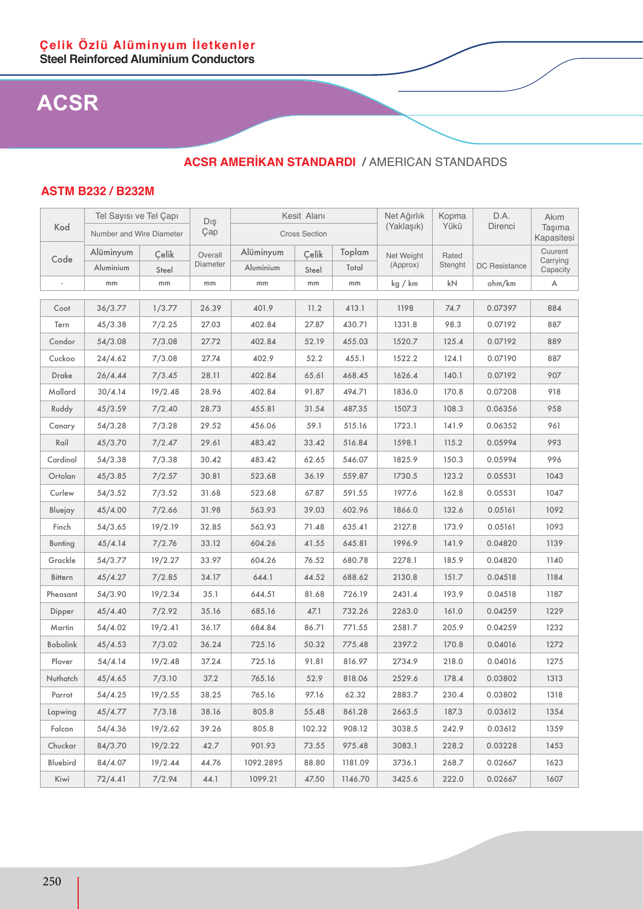### **ACSR AMERİKAN STANDARDI /** AMERICAN STANDARDS

#### **ASTM B232 / B232M**

|                 | Tel Sayısı ve Tel Capı   |         | Dış      |           | Kesit Alanı          |         | Net Ağırlık | Kopma   | D.A.                 | Akım                 |
|-----------------|--------------------------|---------|----------|-----------|----------------------|---------|-------------|---------|----------------------|----------------------|
| Kod             | Number and Wire Diameter |         | Çap      |           | <b>Cross Section</b> |         | (Yaklaşık)  | Yükü    | Direnci              | Taşıma<br>Kapasitesi |
| Code            | Alüminyum                | Celik   | Overall  | Alüminyum | Çelik                | Toplam  | Net Weight  | Rated   |                      | Cuurent              |
|                 | Aluminium                | Steel   | Diameter | Aluminium | Steel                | Total   | (Approx)    | Stenght | <b>DC</b> Resistance | Carrying<br>Capacity |
|                 | mm                       | mm      | mm       | mm        | mm                   | mm      | kg / km     | kN      | ohm/km               | Α                    |
| Coot            | 36/3.77                  | 1/3.77  | 26.39    | 401.9     | 11.2                 | 413.1   | 1198        | 74.7    | 0.07397              | 884                  |
| Tern            | 45/3.38                  | 7/2.25  | 27.03    | 402.84    | 27.87                | 430.71  | 1331.8      | 98.3    | 0.07192              | 887                  |
| Condor          | 54/3.08                  | 7/3.08  | 27.72    | 402.84    | 52.19                | 455.03  | 1520.7      | 125.4   | 0.07192              | 889                  |
| Cuckoo          | 24/4.62                  | 7/3.08  | 27.74    | 402.9     | 52.2                 | 455.1   | 1522.2      | 124.1   | 0.07190              | 887                  |
| Drake           | 26/4.44                  | 7/3.45  | 28.11    | 402.84    | 65.61                | 468.45  | 1626.4      | 140.1   | 0.07192              | 907                  |
| Mallard         | 30/4.14                  | 19/2.48 | 28.96    | 402.84    | 91.87                | 494.71  | 1836.0      | 170.8   | 0.07208              | 918                  |
| Ruddy           | 45/3.59                  | 7/2.40  | 28.73    | 455.81    | 31.54                | 487.35  | 1507.3      | 108.3   | 0.06356              | 958                  |
| Canary          | 54/3.28                  | 7/3.28  | 29.52    | 456.06    | 59.1                 | 515.16  | 1723.1      | 141.9   | 0.06352              | 961                  |
| Rail            | 45/3.70                  | 7/2.47  | 29.61    | 483.42    | 33.42                | 516.84  | 1598.1      | 115.2   | 0.05994              | 993                  |
| Cardinal        | 54/3.38                  | 7/3.38  | 30.42    | 483.42    | 62.65                | 546.07  | 1825.9      | 150.3   | 0.05994              | 996                  |
| Ortolan         | 45/3.85                  | 7/2.57  | 30.81    | 523.68    | 36.19                | 559.87  | 1730.5      | 123.2   | 0.05531              | 1043                 |
| Curlew          | 54/3.52                  | 7/3.52  | 31.68    | 523.68    | 67.87                | 591.55  | 1977.6      | 162.8   | 0.05531              | 1047                 |
| Bluejay         | 45/4.00                  | 7/2.66  | 31.98    | 563.93    | 39.03                | 602.96  | 1866.0      | 132.6   | 0.05161              | 1092                 |
| Finch           | 54/3.65                  | 19/2.19 | 32.85    | 563.93    | 71.48                | 635.41  | 2127.8      | 173.9   | 0.05161              | 1093                 |
| <b>Bunting</b>  | 45/4.14                  | 7/2.76  | 33.12    | 604.26    | 41.55                | 645.81  | 1996.9      | 141.9   | 0.04820              | 1139                 |
| Grackle         | 54/3.77                  | 19/2.27 | 33.97    | 604.26    | 76.52                | 680.78  | 2278.1      | 185.9   | 0.04820              | 1140                 |
| Bittern         | 45/4.27                  | 7/2.85  | 34.17    | 644.1     | 44.52                | 688.62  | 2130.8      | 151.7   | 0.04518              | 1184                 |
| Pheasant        | 54/3.90                  | 19/2.34 | 35.1     | 644.51    | 81.68                | 726.19  | 2431.4      | 193.9   | 0.04518              | 1187                 |
| Dipper          | 45/4.40                  | 7/2.92  | 35.16    | 685.16    | 47.1                 | 732.26  | 2263.0      | 161.0   | 0.04259              | 1229                 |
| Martin          | 54/4.02                  | 19/2.41 | 36.17    | 684.84    | 86.71                | 771.55  | 2581.7      | 205.9   | 0.04259              | 1232                 |
| <b>Bobolink</b> | 45/4.53                  | 7/3.02  | 36.24    | 725.16    | 50.32                | 775.48  | 2397.2      | 170.8   | 0.04016              | 1272                 |
| Plover          | 54/4.14                  | 19/2.48 | 37.24    | 725.16    | 91.81                | 816.97  | 2734.9      | 218.0   | 0.04016              | 1275                 |
| Nuthatch        | 45/4.65                  | 7/3.10  | 37.2     | 765.16    | 52.9                 | 818.06  | 2529.6      | 178.4   | 0.03802              | 1313                 |
| Parrot          | 54/4.25                  | 19/2.55 | 38.25    | 765.16    | 97.16                | 62.32   | 2883.7      | 230.4   | 0.03802              | 1318                 |
| Lapwing         | 45/4.77                  | 7/3.18  | 38.16    | 805.8     | 55.48                | 861.28  | 2663.5      | 187.3   | 0.03612              | 1354                 |
| Falcon          | 54/4.36                  | 19/2.62 | 39.26    | 805.8     | 102.32               | 908.12  | 3038.5      | 242.9   | 0.03612              | 1359                 |
| Chuckar         | 84/3.70                  | 19/2.22 | 42.7     | 901.93    | 73.55                | 975.48  | 3083.1      | 228.2   | 0.03228              | 1453                 |
| Bluebird        | 84/4.07                  | 19/2.44 | 44.76    | 1092.2895 | 88.80                | 1181.09 | 3736.1      | 268.7   | 0.02667              | 1623                 |
| Kiwi            | 72/4.41                  | 7/2.94  | 44.1     | 1099.21   | 47.50                | 1146.70 | 3425.6      | 222.0   | 0.02667              | 1607                 |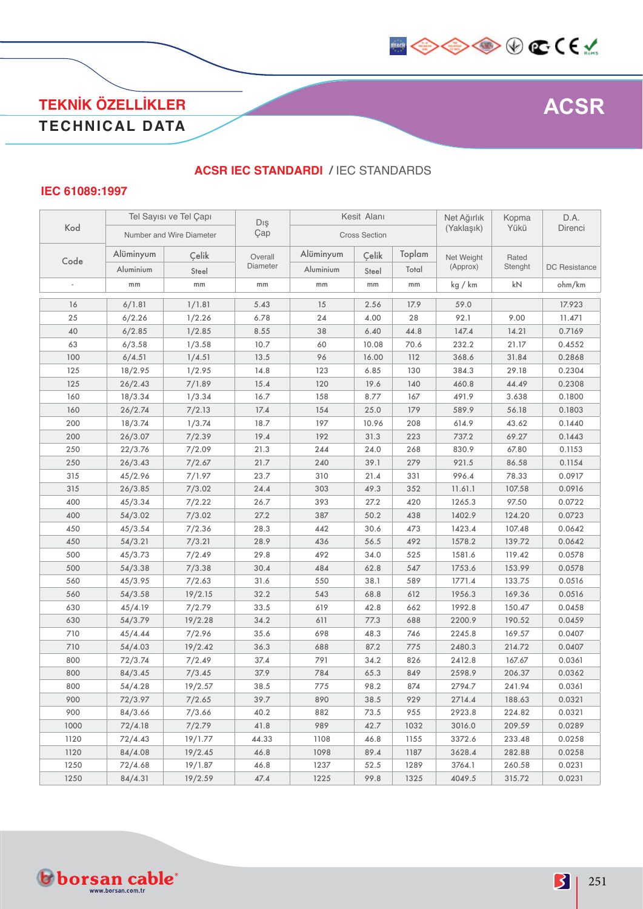

### **TEKNİK ÖZELLİKLER TECHNICAL DATA**

#### **ACSR IEC STANDARDI /** IEC STANDARDS

#### **IEC 61089:1997**

|      |           | Tel Sayısı ve Tel Çapı   | Dış      |           | Kesit Alanı          |        | Net Ağırlık | Kopma   | D.A.          |
|------|-----------|--------------------------|----------|-----------|----------------------|--------|-------------|---------|---------------|
| Kod  |           | Number and Wire Diameter | Çap      |           | <b>Cross Section</b> |        | (Yaklaşık)  | Yükü    | Direnci       |
|      | Alüminyum | Çelik                    | Overall  | Alüminyum | Çelik                | Toplam | Net Weight  | Rated   |               |
| Code | Aluminium | Steel                    | Diameter | Aluminium | Steel                | Total  | (Approx)    | Stenght | DC Resistance |
|      | mm        | mm                       | mm       | mm        | mm                   | mm     | kg / km     | kN      | ohm/km        |
| 16   | 6/1.81    | 1/1.81                   | 5.43     | 15        | 2.56                 | 17.9   | 59.0        |         | 17.923        |
| 25   | 6/2.26    | 1/2.26                   | 6.78     | 24        | 4.00                 | 28     | 92.1        | 9.00    | 11.471        |
| 40   | 6/2.85    | 1/2.85                   | 8.55     | 38        | 6.40                 | 44.8   | 147.4       | 14.21   | 0.7169        |
| 63   | 6/3.58    | 1/3.58                   | 10.7     | 60        | 10.08                | 70.6   | 232.2       | 21.17   | 0.4552        |
| 100  | 6/4.51    | 1/4.51                   | 13.5     | 96        | 16.00                | 112    | 368.6       | 31.84   | 0.2868        |
| 125  | 18/2.95   | 1/2.95                   | 14.8     | 123       | 6.85                 | 130    | 384.3       | 29.18   | 0.2304        |
| 125  | 26/2.43   | 7/1.89                   | 15.4     | 120       | 19.6                 | 140    | 460.8       | 44.49   | 0.2308        |
| 160  | 18/3.34   | 1/3.34                   | 16.7     | 158       | 8.77                 | 167    | 491.9       | 3.638   | 0.1800        |
| 160  | 26/2.74   | 7/2.13                   | 17.4     | 154       | 25.0                 | 179    | 589.9       | 56.18   | 0.1803        |
| 200  | 18/3.74   | 1/3.74                   | 18.7     | 197       | 10.96                | 208    | 614.9       | 43.62   | 0.1440        |
| 200  | 26/3.07   | 7/2.39                   | 19.4     | 192       | 31.3                 | 223    | 737.2       | 69.27   | 0.1443        |
| 250  | 22/3.76   | 7/2.09                   | 21.3     | 244       | 24.0                 | 268    | 830.9       | 67.80   | 0.1153        |
| 250  | 26/3.43   | 7/2.67                   | 21.7     | 240       | 39.1                 | 279    | 921.5       | 86.58   | 0.1154        |
| 315  | 45/2.96   | 7/1.97                   | 23.7     | 310       | 21.4                 | 331    | 996.4       | 78.33   | 0.0917        |
| 315  | 26/3.85   | 7/3.02                   | 24.4     | 303       | 49.3                 | 352    | 11.61.1     | 107.58  | 0.0916        |
| 400  | 45/3.34   | 7/2.22                   | 26.7     | 393       | 27.2                 | 420    | 1265.3      | 97.50   | 0.0722        |
| 400  | 54/3.02   | 7/3.02                   | 27.2     | 387       | 50.2                 | 438    | 1402.9      | 124.20  | 0.0723        |
| 450  | 45/3.54   | 7/2.36                   | 28.3     | 442       | 30.6                 | 473    | 1423.4      | 107.48  | 0.0642        |
| 450  | 54/3.21   | 7/3.21                   | 28.9     | 436       | 56.5                 | 492    | 1578.2      | 139.72  | 0.0642        |
| 500  | 45/3.73   | 7/2.49                   | 29.8     | 492       | 34.0                 | 525    | 1581.6      | 119.42  | 0.0578        |
| 500  | 54/3.38   | 7/3.38                   | 30.4     | 484       | 62.8                 | 547    | 1753.6      | 153.99  | 0.0578        |
| 560  | 45/3.95   | 7/2.63                   | 31.6     | 550       | 38.1                 | 589    | 1771.4      | 133.75  | 0.0516        |
| 560  | 54/3.58   | 19/2.15                  | 32.2     | 543       | 68.8                 | 612    | 1956.3      | 169.36  | 0.0516        |
| 630  | 45/4.19   | 7/2.79                   | 33.5     | 619       | 42.8                 | 662    | 1992.8      | 150.47  | 0.0458        |
| 630  | 54/3.79   | 19/2.28                  | 34.2     | 611       | 77.3                 | 688    | 2200.9      | 190.52  | 0.0459        |
| 710  | 45/4.44   | 7/2.96                   | 35.6     | 698       | 48.3                 | 746    | 2245.8      | 169.57  | 0.0407        |
| 710  | 54/4.03   | 19/2.42                  | 36.3     | 688       | 87.2                 | 775    | 2480.3      | 214.72  | 0.0407        |
| 800  | 72/3.74   | 7/2.49                   | 37.4     | 791       | 34.2                 | 826    | 2412.8      | 167.67  | 0.0361        |
| 800  | 84/3.45   | 7/3.45                   | 37.9     | 784       | 65.3                 | 849    | 2598.9      | 206.37  | 0.0362        |
| 800  | 54/4.28   | 19/2.57                  | 38.5     | 775       | 98.2                 | 874    | 2794.7      | 241.94  | 0.0361        |
| 900  | 72/3.97   | 7/2.65                   | 39.7     | 890       | 38.5                 | 929    | 2714.4      | 188.63  | 0.0321        |
| 900  | 84/3.66   | 7/3.66                   | 40.2     | 882       | 73.5                 | 955    | 2923.8      | 224.82  | 0.0321        |
| 1000 | 72/4.18   | 7/2.79                   | 41.8     | 989       | 42.7                 | 1032   | 3016.0      | 209.59  | 0.0289        |
| 1120 | 72/4.43   | 19/1.77                  | 44.33    | 1108      | 46.8                 | 1155   | 3372.6      | 233.48  | 0.0258        |
| 1120 | 84/4.08   | 19/2.45                  | 46.8     | 1098      | 89.4                 | 1187   | 3628.4      | 282.88  | 0.0258        |
| 1250 | 72/4.68   | 19/1.87                  | 46.8     | 1237      | 52.5                 | 1289   | 3764.1      | 260.58  | 0.0231        |
| 1250 | 84/4.31   | 19/2.59                  | 47.4     | 1225      | 99.8                 | 1325   | 4049.5      | 315.72  | 0.0231        |

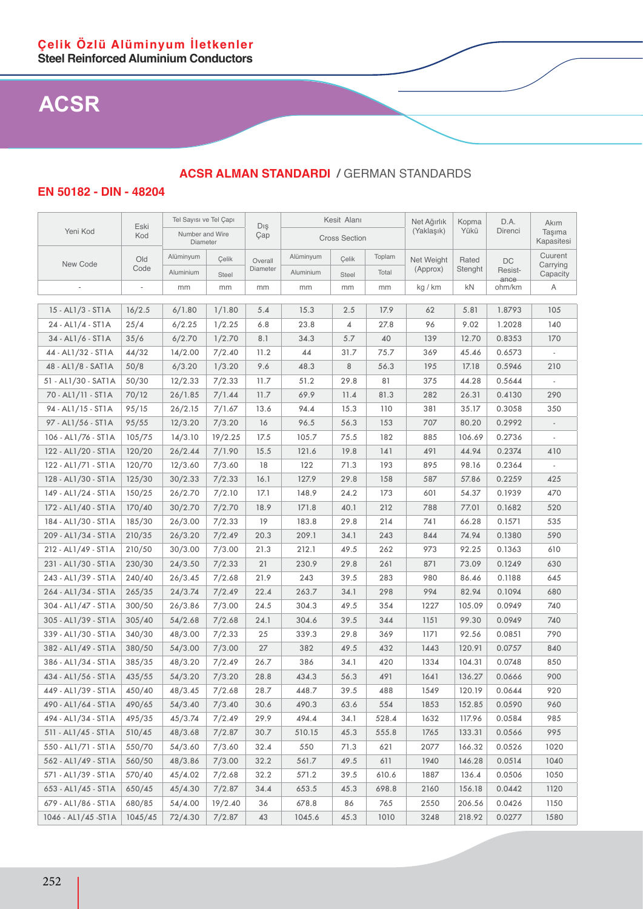**EN 50182 - DIN - 48204**

| Yeni Kod<br>(Yaklaşık)<br>Yükü<br>Direnci<br>Taşıma<br>Number and Wire<br>Kod<br>Çap<br><b>Cross Section</b><br>Kapasitesi<br>Diameter<br>Cuurent<br>Alüminyum<br>Alüminyum<br>Toplam<br>Çelik<br>Old<br>Çelik<br>Net Weight<br>Overall<br>Rated<br>DC<br>New Code<br>Carrying<br>Diameter<br>Code<br>(Approx)<br>Stenght<br>Resist-<br>Aluminium<br>Aluminium<br>Total<br>Capacity<br>Steel<br><b>Steel</b><br>ance<br>mm<br>mm<br>kg / km<br>kN<br>ohm/km<br>Α<br>mm<br>mm<br>mm<br>mm<br>15 - AL1/3 - ST1A<br>1/1.80<br>105<br>16/2.5<br>6/1.80<br>5.4<br>15.3<br>2.5<br>17.9<br>62<br>5.81<br>1.8793<br>24 - AL1/4 - ST1A<br>25/4<br>6/2.25<br>1/2.25<br>4<br>96<br>9.02<br>140<br>6.8<br>23.8<br>27.8<br>1.2028<br>35/6<br>34 - AL1/6 - ST1A<br>6/2.70<br>1/2.70<br>8.1<br>34.3<br>5.7<br>40<br>139<br>12.70<br>0.8353<br>170<br>44 - AL1/32 - ST1A<br>44/32<br>7/2.40<br>44<br>45.46<br>14/2.00<br>11.2<br>31.7<br>75.7<br>369<br>0.6573<br>50/8<br>1/3.20<br>9.6<br>48.3<br>8<br>195<br>17.18<br>210<br>48 - AL1/8 - SAT1A<br>6/3.20<br>56.3<br>0.5946<br>51 - AL1/30 - SAT1A<br>50/30<br>12/2.33<br>7/2.33<br>11.7<br>51.2<br>29.8<br>375<br>44.28<br>0.5644<br>81<br>70 - AL1/11 - ST1A<br>70/12<br>26/1.85<br>7/1.44<br>11.7<br>69.9<br>81.3<br>282<br>26.31<br>0.4130<br>290<br>11.4<br>94 - AL1/15 - ST1A<br>95/15<br>26/2.15<br>94.4<br>15.3<br>381<br>35.17<br>350<br>7/1.67<br>13.6<br>110<br>0.3058<br>95/55<br>7/3.20<br>16<br>96.5<br>56.3<br>153<br>707<br>80.20<br>97 - AL1/56 - ST1A<br>12/3.20<br>0.2992<br>106 - AL1/76 - ST1A<br>105/75<br>14/3.10<br>19/2.25<br>17.5<br>105.7<br>75.5<br>182<br>885<br>106.69<br>0.2736<br>122 - AL1/20 - ST1A<br>120/20<br>26/2.44<br>7/1.90<br>121.6<br>141<br>491<br>44.94<br>15.5<br>19.8<br>0.2374<br>410<br>122 - AL1/71 - ST1A<br>120/70<br>12/3.60<br>7/3.60<br>122<br>193<br>895<br>98.16<br>18<br>71.3<br>0.2364<br>128 - AL1/30 - ST1A<br>125/30<br>30/2.33<br>7/2.33<br>16.1<br>127.9<br>29.8<br>158<br>587<br>57.86<br>0.2259<br>425<br>149 - AL1/24 - ST1A<br>24.2<br>470<br>150/25<br>26/2.70<br>7/2.10<br>17.1<br>148.9<br>173<br>601<br>54.37<br>0.1939<br>172 - AL1/40 - ST1A<br>170/40<br>7/2.70<br>18.9<br>212<br>788<br>520<br>30/2.70<br>171.8<br>40.1<br>77.01<br>0.1682<br>184 - AL1/30 - ST1A<br>185/30<br>26/3.00<br>7/2.33<br>19<br>183.8<br>29.8<br>214<br>741<br>66.28<br>535<br>0.1571<br>209 - AL1/34 - ST1A<br>210/35<br>26/3.20<br>7/2.49<br>20.3<br>209.1<br>34.1<br>844<br>74.94<br>590<br>243<br>0.1380<br>212 - AL1/49 - ST1A<br>210/50<br>30/3.00<br>7/3.00<br>21.3<br>212.1<br>49.5<br>262<br>973<br>92.25<br>610<br>0.1363<br>231 - AL1/30 - ST1A<br>230/30<br>24/3.50<br>7/2.33<br>21<br>230.9<br>29.8<br>261<br>871<br>73.09<br>0.1249<br>630 |      | Tel Sayısı ve Tel Çapı |  |     | Kesit Alanı |  |  | Net Ağırlık | Kopma | D.A. | Akım |
|--------------------------------------------------------------------------------------------------------------------------------------------------------------------------------------------------------------------------------------------------------------------------------------------------------------------------------------------------------------------------------------------------------------------------------------------------------------------------------------------------------------------------------------------------------------------------------------------------------------------------------------------------------------------------------------------------------------------------------------------------------------------------------------------------------------------------------------------------------------------------------------------------------------------------------------------------------------------------------------------------------------------------------------------------------------------------------------------------------------------------------------------------------------------------------------------------------------------------------------------------------------------------------------------------------------------------------------------------------------------------------------------------------------------------------------------------------------------------------------------------------------------------------------------------------------------------------------------------------------------------------------------------------------------------------------------------------------------------------------------------------------------------------------------------------------------------------------------------------------------------------------------------------------------------------------------------------------------------------------------------------------------------------------------------------------------------------------------------------------------------------------------------------------------------------------------------------------------------------------------------------------------------------------------------------------------------------------------------------------------------------------------------------------------------------------------------------------------------------------------------------------------------------------------------------------------------------------------------------------------------------------------------------------------------------------------------------------------------------------------------|------|------------------------|--|-----|-------------|--|--|-------------|-------|------|------|
|                                                                                                                                                                                                                                                                                                                                                                                                                                                                                                                                                                                                                                                                                                                                                                                                                                                                                                                                                                                                                                                                                                                                                                                                                                                                                                                                                                                                                                                                                                                                                                                                                                                                                                                                                                                                                                                                                                                                                                                                                                                                                                                                                                                                                                                                                                                                                                                                                                                                                                                                                                                                                                                                                                                                                  | Eski |                        |  | Dış |             |  |  |             |       |      |      |
|                                                                                                                                                                                                                                                                                                                                                                                                                                                                                                                                                                                                                                                                                                                                                                                                                                                                                                                                                                                                                                                                                                                                                                                                                                                                                                                                                                                                                                                                                                                                                                                                                                                                                                                                                                                                                                                                                                                                                                                                                                                                                                                                                                                                                                                                                                                                                                                                                                                                                                                                                                                                                                                                                                                                                  |      |                        |  |     |             |  |  |             |       |      |      |
|                                                                                                                                                                                                                                                                                                                                                                                                                                                                                                                                                                                                                                                                                                                                                                                                                                                                                                                                                                                                                                                                                                                                                                                                                                                                                                                                                                                                                                                                                                                                                                                                                                                                                                                                                                                                                                                                                                                                                                                                                                                                                                                                                                                                                                                                                                                                                                                                                                                                                                                                                                                                                                                                                                                                                  |      |                        |  |     |             |  |  |             |       |      |      |
|                                                                                                                                                                                                                                                                                                                                                                                                                                                                                                                                                                                                                                                                                                                                                                                                                                                                                                                                                                                                                                                                                                                                                                                                                                                                                                                                                                                                                                                                                                                                                                                                                                                                                                                                                                                                                                                                                                                                                                                                                                                                                                                                                                                                                                                                                                                                                                                                                                                                                                                                                                                                                                                                                                                                                  |      |                        |  |     |             |  |  |             |       |      |      |
|                                                                                                                                                                                                                                                                                                                                                                                                                                                                                                                                                                                                                                                                                                                                                                                                                                                                                                                                                                                                                                                                                                                                                                                                                                                                                                                                                                                                                                                                                                                                                                                                                                                                                                                                                                                                                                                                                                                                                                                                                                                                                                                                                                                                                                                                                                                                                                                                                                                                                                                                                                                                                                                                                                                                                  |      |                        |  |     |             |  |  |             |       |      |      |
|                                                                                                                                                                                                                                                                                                                                                                                                                                                                                                                                                                                                                                                                                                                                                                                                                                                                                                                                                                                                                                                                                                                                                                                                                                                                                                                                                                                                                                                                                                                                                                                                                                                                                                                                                                                                                                                                                                                                                                                                                                                                                                                                                                                                                                                                                                                                                                                                                                                                                                                                                                                                                                                                                                                                                  |      |                        |  |     |             |  |  |             |       |      |      |
|                                                                                                                                                                                                                                                                                                                                                                                                                                                                                                                                                                                                                                                                                                                                                                                                                                                                                                                                                                                                                                                                                                                                                                                                                                                                                                                                                                                                                                                                                                                                                                                                                                                                                                                                                                                                                                                                                                                                                                                                                                                                                                                                                                                                                                                                                                                                                                                                                                                                                                                                                                                                                                                                                                                                                  |      |                        |  |     |             |  |  |             |       |      |      |
|                                                                                                                                                                                                                                                                                                                                                                                                                                                                                                                                                                                                                                                                                                                                                                                                                                                                                                                                                                                                                                                                                                                                                                                                                                                                                                                                                                                                                                                                                                                                                                                                                                                                                                                                                                                                                                                                                                                                                                                                                                                                                                                                                                                                                                                                                                                                                                                                                                                                                                                                                                                                                                                                                                                                                  |      |                        |  |     |             |  |  |             |       |      |      |
|                                                                                                                                                                                                                                                                                                                                                                                                                                                                                                                                                                                                                                                                                                                                                                                                                                                                                                                                                                                                                                                                                                                                                                                                                                                                                                                                                                                                                                                                                                                                                                                                                                                                                                                                                                                                                                                                                                                                                                                                                                                                                                                                                                                                                                                                                                                                                                                                                                                                                                                                                                                                                                                                                                                                                  |      |                        |  |     |             |  |  |             |       |      |      |
|                                                                                                                                                                                                                                                                                                                                                                                                                                                                                                                                                                                                                                                                                                                                                                                                                                                                                                                                                                                                                                                                                                                                                                                                                                                                                                                                                                                                                                                                                                                                                                                                                                                                                                                                                                                                                                                                                                                                                                                                                                                                                                                                                                                                                                                                                                                                                                                                                                                                                                                                                                                                                                                                                                                                                  |      |                        |  |     |             |  |  |             |       |      |      |
|                                                                                                                                                                                                                                                                                                                                                                                                                                                                                                                                                                                                                                                                                                                                                                                                                                                                                                                                                                                                                                                                                                                                                                                                                                                                                                                                                                                                                                                                                                                                                                                                                                                                                                                                                                                                                                                                                                                                                                                                                                                                                                                                                                                                                                                                                                                                                                                                                                                                                                                                                                                                                                                                                                                                                  |      |                        |  |     |             |  |  |             |       |      |      |
|                                                                                                                                                                                                                                                                                                                                                                                                                                                                                                                                                                                                                                                                                                                                                                                                                                                                                                                                                                                                                                                                                                                                                                                                                                                                                                                                                                                                                                                                                                                                                                                                                                                                                                                                                                                                                                                                                                                                                                                                                                                                                                                                                                                                                                                                                                                                                                                                                                                                                                                                                                                                                                                                                                                                                  |      |                        |  |     |             |  |  |             |       |      |      |
|                                                                                                                                                                                                                                                                                                                                                                                                                                                                                                                                                                                                                                                                                                                                                                                                                                                                                                                                                                                                                                                                                                                                                                                                                                                                                                                                                                                                                                                                                                                                                                                                                                                                                                                                                                                                                                                                                                                                                                                                                                                                                                                                                                                                                                                                                                                                                                                                                                                                                                                                                                                                                                                                                                                                                  |      |                        |  |     |             |  |  |             |       |      |      |
|                                                                                                                                                                                                                                                                                                                                                                                                                                                                                                                                                                                                                                                                                                                                                                                                                                                                                                                                                                                                                                                                                                                                                                                                                                                                                                                                                                                                                                                                                                                                                                                                                                                                                                                                                                                                                                                                                                                                                                                                                                                                                                                                                                                                                                                                                                                                                                                                                                                                                                                                                                                                                                                                                                                                                  |      |                        |  |     |             |  |  |             |       |      |      |
|                                                                                                                                                                                                                                                                                                                                                                                                                                                                                                                                                                                                                                                                                                                                                                                                                                                                                                                                                                                                                                                                                                                                                                                                                                                                                                                                                                                                                                                                                                                                                                                                                                                                                                                                                                                                                                                                                                                                                                                                                                                                                                                                                                                                                                                                                                                                                                                                                                                                                                                                                                                                                                                                                                                                                  |      |                        |  |     |             |  |  |             |       |      |      |
|                                                                                                                                                                                                                                                                                                                                                                                                                                                                                                                                                                                                                                                                                                                                                                                                                                                                                                                                                                                                                                                                                                                                                                                                                                                                                                                                                                                                                                                                                                                                                                                                                                                                                                                                                                                                                                                                                                                                                                                                                                                                                                                                                                                                                                                                                                                                                                                                                                                                                                                                                                                                                                                                                                                                                  |      |                        |  |     |             |  |  |             |       |      |      |
|                                                                                                                                                                                                                                                                                                                                                                                                                                                                                                                                                                                                                                                                                                                                                                                                                                                                                                                                                                                                                                                                                                                                                                                                                                                                                                                                                                                                                                                                                                                                                                                                                                                                                                                                                                                                                                                                                                                                                                                                                                                                                                                                                                                                                                                                                                                                                                                                                                                                                                                                                                                                                                                                                                                                                  |      |                        |  |     |             |  |  |             |       |      |      |
|                                                                                                                                                                                                                                                                                                                                                                                                                                                                                                                                                                                                                                                                                                                                                                                                                                                                                                                                                                                                                                                                                                                                                                                                                                                                                                                                                                                                                                                                                                                                                                                                                                                                                                                                                                                                                                                                                                                                                                                                                                                                                                                                                                                                                                                                                                                                                                                                                                                                                                                                                                                                                                                                                                                                                  |      |                        |  |     |             |  |  |             |       |      |      |
|                                                                                                                                                                                                                                                                                                                                                                                                                                                                                                                                                                                                                                                                                                                                                                                                                                                                                                                                                                                                                                                                                                                                                                                                                                                                                                                                                                                                                                                                                                                                                                                                                                                                                                                                                                                                                                                                                                                                                                                                                                                                                                                                                                                                                                                                                                                                                                                                                                                                                                                                                                                                                                                                                                                                                  |      |                        |  |     |             |  |  |             |       |      |      |
|                                                                                                                                                                                                                                                                                                                                                                                                                                                                                                                                                                                                                                                                                                                                                                                                                                                                                                                                                                                                                                                                                                                                                                                                                                                                                                                                                                                                                                                                                                                                                                                                                                                                                                                                                                                                                                                                                                                                                                                                                                                                                                                                                                                                                                                                                                                                                                                                                                                                                                                                                                                                                                                                                                                                                  |      |                        |  |     |             |  |  |             |       |      |      |
|                                                                                                                                                                                                                                                                                                                                                                                                                                                                                                                                                                                                                                                                                                                                                                                                                                                                                                                                                                                                                                                                                                                                                                                                                                                                                                                                                                                                                                                                                                                                                                                                                                                                                                                                                                                                                                                                                                                                                                                                                                                                                                                                                                                                                                                                                                                                                                                                                                                                                                                                                                                                                                                                                                                                                  |      |                        |  |     |             |  |  |             |       |      |      |
|                                                                                                                                                                                                                                                                                                                                                                                                                                                                                                                                                                                                                                                                                                                                                                                                                                                                                                                                                                                                                                                                                                                                                                                                                                                                                                                                                                                                                                                                                                                                                                                                                                                                                                                                                                                                                                                                                                                                                                                                                                                                                                                                                                                                                                                                                                                                                                                                                                                                                                                                                                                                                                                                                                                                                  |      |                        |  |     |             |  |  |             |       |      |      |
|                                                                                                                                                                                                                                                                                                                                                                                                                                                                                                                                                                                                                                                                                                                                                                                                                                                                                                                                                                                                                                                                                                                                                                                                                                                                                                                                                                                                                                                                                                                                                                                                                                                                                                                                                                                                                                                                                                                                                                                                                                                                                                                                                                                                                                                                                                                                                                                                                                                                                                                                                                                                                                                                                                                                                  |      |                        |  |     |             |  |  |             |       |      |      |
|                                                                                                                                                                                                                                                                                                                                                                                                                                                                                                                                                                                                                                                                                                                                                                                                                                                                                                                                                                                                                                                                                                                                                                                                                                                                                                                                                                                                                                                                                                                                                                                                                                                                                                                                                                                                                                                                                                                                                                                                                                                                                                                                                                                                                                                                                                                                                                                                                                                                                                                                                                                                                                                                                                                                                  |      |                        |  |     |             |  |  |             |       |      |      |
| 243 - AL1/39 - ST1A<br>240/40<br>21.9<br>243<br>39.5<br>283<br>980<br>645<br>26/3.45<br>7/2.68<br>86.46<br>0.1188                                                                                                                                                                                                                                                                                                                                                                                                                                                                                                                                                                                                                                                                                                                                                                                                                                                                                                                                                                                                                                                                                                                                                                                                                                                                                                                                                                                                                                                                                                                                                                                                                                                                                                                                                                                                                                                                                                                                                                                                                                                                                                                                                                                                                                                                                                                                                                                                                                                                                                                                                                                                                                |      |                        |  |     |             |  |  |             |       |      |      |
| 264 - AL1/34 - ST1A<br>24/3.74<br>7/2.49<br>22.4<br>263.7<br>34.1<br>298<br>994<br>82.94<br>680<br>265/35<br>0.1094                                                                                                                                                                                                                                                                                                                                                                                                                                                                                                                                                                                                                                                                                                                                                                                                                                                                                                                                                                                                                                                                                                                                                                                                                                                                                                                                                                                                                                                                                                                                                                                                                                                                                                                                                                                                                                                                                                                                                                                                                                                                                                                                                                                                                                                                                                                                                                                                                                                                                                                                                                                                                              |      |                        |  |     |             |  |  |             |       |      |      |
| 304 - AL1/47 - ST1A<br>300/50<br>26/3.86<br>7/3.00<br>24.5<br>304.3<br>354<br>1227<br>105.09<br>740<br>49.5<br>0.0949                                                                                                                                                                                                                                                                                                                                                                                                                                                                                                                                                                                                                                                                                                                                                                                                                                                                                                                                                                                                                                                                                                                                                                                                                                                                                                                                                                                                                                                                                                                                                                                                                                                                                                                                                                                                                                                                                                                                                                                                                                                                                                                                                                                                                                                                                                                                                                                                                                                                                                                                                                                                                            |      |                        |  |     |             |  |  |             |       |      |      |
| 305 - AL1/39 - ST1A<br>305/40<br>54/2.68<br>7/2.68<br>24.1<br>304.6<br>39.5<br>344<br>1151<br>99.30<br>740<br>0.0949                                                                                                                                                                                                                                                                                                                                                                                                                                                                                                                                                                                                                                                                                                                                                                                                                                                                                                                                                                                                                                                                                                                                                                                                                                                                                                                                                                                                                                                                                                                                                                                                                                                                                                                                                                                                                                                                                                                                                                                                                                                                                                                                                                                                                                                                                                                                                                                                                                                                                                                                                                                                                             |      |                        |  |     |             |  |  |             |       |      |      |
| 339 - AL1/30 - ST1A<br>48/3.00<br>7/2.33<br>339.3<br>369<br>1171<br>92.56<br>790<br>340/30<br>25<br>29.8<br>0.0851                                                                                                                                                                                                                                                                                                                                                                                                                                                                                                                                                                                                                                                                                                                                                                                                                                                                                                                                                                                                                                                                                                                                                                                                                                                                                                                                                                                                                                                                                                                                                                                                                                                                                                                                                                                                                                                                                                                                                                                                                                                                                                                                                                                                                                                                                                                                                                                                                                                                                                                                                                                                                               |      |                        |  |     |             |  |  |             |       |      |      |
| 382 - AL1/49 - ST1A<br>380/50<br>54/3.00<br>7/3.00<br>27<br>382<br>120.91<br>49.5<br>432<br>1443<br>0.0757<br>840                                                                                                                                                                                                                                                                                                                                                                                                                                                                                                                                                                                                                                                                                                                                                                                                                                                                                                                                                                                                                                                                                                                                                                                                                                                                                                                                                                                                                                                                                                                                                                                                                                                                                                                                                                                                                                                                                                                                                                                                                                                                                                                                                                                                                                                                                                                                                                                                                                                                                                                                                                                                                                |      |                        |  |     |             |  |  |             |       |      |      |
| 386 - AL1/34 - ST1A<br>385/35<br>7/2.49<br>26.7<br>386<br>34.1<br>420<br>1334<br>850<br>48/3.20<br>104.31<br>0.0748                                                                                                                                                                                                                                                                                                                                                                                                                                                                                                                                                                                                                                                                                                                                                                                                                                                                                                                                                                                                                                                                                                                                                                                                                                                                                                                                                                                                                                                                                                                                                                                                                                                                                                                                                                                                                                                                                                                                                                                                                                                                                                                                                                                                                                                                                                                                                                                                                                                                                                                                                                                                                              |      |                        |  |     |             |  |  |             |       |      |      |
| 434 - AL1/56 - ST1A<br>54/3.20<br>7/3.20<br>28.8<br>434.3<br>56.3<br>491<br>1641<br>900<br>435/55<br>136.27<br>0.0666                                                                                                                                                                                                                                                                                                                                                                                                                                                                                                                                                                                                                                                                                                                                                                                                                                                                                                                                                                                                                                                                                                                                                                                                                                                                                                                                                                                                                                                                                                                                                                                                                                                                                                                                                                                                                                                                                                                                                                                                                                                                                                                                                                                                                                                                                                                                                                                                                                                                                                                                                                                                                            |      |                        |  |     |             |  |  |             |       |      |      |
| 449 - AL1/39 - ST1A<br>448.7<br>39.5<br>488<br>1549<br>120.19<br>0.0644<br>920<br>450/40<br>48/3.45<br>7/2.68<br>28.7                                                                                                                                                                                                                                                                                                                                                                                                                                                                                                                                                                                                                                                                                                                                                                                                                                                                                                                                                                                                                                                                                                                                                                                                                                                                                                                                                                                                                                                                                                                                                                                                                                                                                                                                                                                                                                                                                                                                                                                                                                                                                                                                                                                                                                                                                                                                                                                                                                                                                                                                                                                                                            |      |                        |  |     |             |  |  |             |       |      |      |
| 490 - AL1/64 - ST1A<br>490/65<br>54/3.40<br>7/3.40<br>30.6<br>490.3<br>554<br>1853<br>152.85<br>0.0590<br>960<br>63.6                                                                                                                                                                                                                                                                                                                                                                                                                                                                                                                                                                                                                                                                                                                                                                                                                                                                                                                                                                                                                                                                                                                                                                                                                                                                                                                                                                                                                                                                                                                                                                                                                                                                                                                                                                                                                                                                                                                                                                                                                                                                                                                                                                                                                                                                                                                                                                                                                                                                                                                                                                                                                            |      |                        |  |     |             |  |  |             |       |      |      |
| 494.4<br>494 - AL1/34 - ST1A<br>495/35<br>45/3.74<br>7/2.49<br>29.9<br>34.1<br>528.4<br>1632<br>117.96<br>0.0584<br>985                                                                                                                                                                                                                                                                                                                                                                                                                                                                                                                                                                                                                                                                                                                                                                                                                                                                                                                                                                                                                                                                                                                                                                                                                                                                                                                                                                                                                                                                                                                                                                                                                                                                                                                                                                                                                                                                                                                                                                                                                                                                                                                                                                                                                                                                                                                                                                                                                                                                                                                                                                                                                          |      |                        |  |     |             |  |  |             |       |      |      |
| 511 - AL1/45 - ST1A<br>510/45<br>48/3.68<br>30.7<br>45.3<br>1765<br>133.31<br>995<br>7/2.87<br>510.15<br>555.8<br>0.0566                                                                                                                                                                                                                                                                                                                                                                                                                                                                                                                                                                                                                                                                                                                                                                                                                                                                                                                                                                                                                                                                                                                                                                                                                                                                                                                                                                                                                                                                                                                                                                                                                                                                                                                                                                                                                                                                                                                                                                                                                                                                                                                                                                                                                                                                                                                                                                                                                                                                                                                                                                                                                         |      |                        |  |     |             |  |  |             |       |      |      |
| 550 - AL1/71 - ST1A<br>550/70<br>54/3.60<br>32.4<br>550<br>2077<br>166.32<br>1020<br>7/3.60<br>71.3<br>621<br>0.0526                                                                                                                                                                                                                                                                                                                                                                                                                                                                                                                                                                                                                                                                                                                                                                                                                                                                                                                                                                                                                                                                                                                                                                                                                                                                                                                                                                                                                                                                                                                                                                                                                                                                                                                                                                                                                                                                                                                                                                                                                                                                                                                                                                                                                                                                                                                                                                                                                                                                                                                                                                                                                             |      |                        |  |     |             |  |  |             |       |      |      |
| 48/3.86<br>7/3.00<br>32.2<br>561.7<br>146.28<br>1040<br>562 - AL1/49 - ST1A<br>560/50<br>49.5<br>611<br>1940<br>0.0514                                                                                                                                                                                                                                                                                                                                                                                                                                                                                                                                                                                                                                                                                                                                                                                                                                                                                                                                                                                                                                                                                                                                                                                                                                                                                                                                                                                                                                                                                                                                                                                                                                                                                                                                                                                                                                                                                                                                                                                                                                                                                                                                                                                                                                                                                                                                                                                                                                                                                                                                                                                                                           |      |                        |  |     |             |  |  |             |       |      |      |
| 7/2.68<br>136.4<br>1050<br>571 - AL1/39 - ST1A<br>570/40<br>45/4.02<br>32.2<br>571.2<br>39.5<br>610.6<br>1887<br>0.0506                                                                                                                                                                                                                                                                                                                                                                                                                                                                                                                                                                                                                                                                                                                                                                                                                                                                                                                                                                                                                                                                                                                                                                                                                                                                                                                                                                                                                                                                                                                                                                                                                                                                                                                                                                                                                                                                                                                                                                                                                                                                                                                                                                                                                                                                                                                                                                                                                                                                                                                                                                                                                          |      |                        |  |     |             |  |  |             |       |      |      |
| 653 - AL1/45 - ST1A<br>650/45<br>45/4.30<br>7/2.87<br>653.5<br>45.3<br>698.8<br>2160<br>156.18<br>1120<br>34.4<br>0.0442                                                                                                                                                                                                                                                                                                                                                                                                                                                                                                                                                                                                                                                                                                                                                                                                                                                                                                                                                                                                                                                                                                                                                                                                                                                                                                                                                                                                                                                                                                                                                                                                                                                                                                                                                                                                                                                                                                                                                                                                                                                                                                                                                                                                                                                                                                                                                                                                                                                                                                                                                                                                                         |      |                        |  |     |             |  |  |             |       |      |      |
| 679 - AL1/86 - ST1A<br>680/85<br>54/4.00<br>19/2.40<br>678.8<br>86<br>765<br>2550<br>206.56<br>0.0426<br>1150<br>36                                                                                                                                                                                                                                                                                                                                                                                                                                                                                                                                                                                                                                                                                                                                                                                                                                                                                                                                                                                                                                                                                                                                                                                                                                                                                                                                                                                                                                                                                                                                                                                                                                                                                                                                                                                                                                                                                                                                                                                                                                                                                                                                                                                                                                                                                                                                                                                                                                                                                                                                                                                                                              |      |                        |  |     |             |  |  |             |       |      |      |
| 1046 - AL1/45 - ST1A<br>1045/45<br>7/2.87<br>43<br>1045.6<br>45.3<br>1010<br>3248<br>218.92<br>0.0277<br>1580<br>72/4.30                                                                                                                                                                                                                                                                                                                                                                                                                                                                                                                                                                                                                                                                                                                                                                                                                                                                                                                                                                                                                                                                                                                                                                                                                                                                                                                                                                                                                                                                                                                                                                                                                                                                                                                                                                                                                                                                                                                                                                                                                                                                                                                                                                                                                                                                                                                                                                                                                                                                                                                                                                                                                         |      |                        |  |     |             |  |  |             |       |      |      |

### **ACSR ALMAN STANDARDI /** GERMAN STANDARDS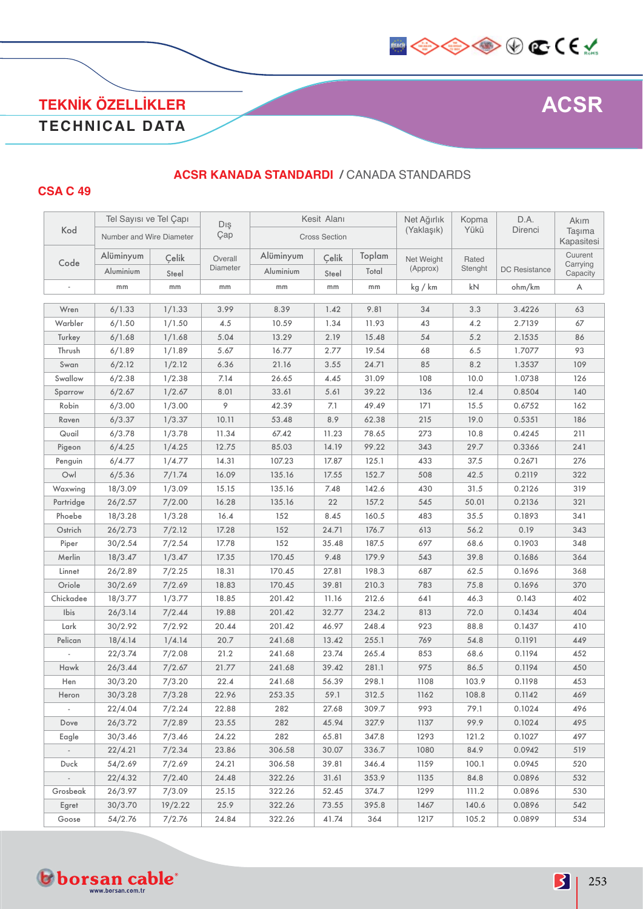

### **TEKNİK ÖZELLİKLER TECHNICAL DATA**

#### **ACSR KANADA STANDARDI /** CANADA STANDARDS

#### **CSA C 49**

|                             | Tel Sayısı ve Tel Capı   |         |            |           | Kesit Alanı          |        | Net Ağırlık | Kopma   | D.A.                 | Akım                 |
|-----------------------------|--------------------------|---------|------------|-----------|----------------------|--------|-------------|---------|----------------------|----------------------|
| Kod                         | Number and Wire Diameter |         | Dış<br>Çap |           | <b>Cross Section</b> |        | (Yaklaşık)  | Yükü    | Direnci              | Taşıma<br>Kapasitesi |
|                             | Alüminyum                | Çelik   | Overall    | Alüminyum | Çelik                | Toplam | Net Weight  | Rated   |                      | Cuurent              |
| Code                        | Aluminium                | Steel   | Diameter   | Aluminium | Steel                | Total  | (Approx)    | Stenght | <b>DC Resistance</b> | Carrying<br>Capacity |
|                             | mm                       | mm      | mm         | mm        | mm                   | mm     | kg / km     | kN      | ohm/km               | A                    |
|                             |                          |         |            |           |                      |        |             |         |                      |                      |
| Wren                        | 6/1.33                   | 1/1.33  | 3.99       | 8.39      | 1.42                 | 9.81   | 34          | 3.3     | 3.4226               | 63                   |
| Warbler                     | 6/1.50                   | 1/1.50  | 4.5        | 10.59     | 1.34                 | 11.93  | 43          | 4.2     | 2.7139               | 67                   |
| Turkey                      | 6/1.68                   | 1/1.68  | 5.04       | 13.29     | 2.19                 | 15.48  | 54          | 5.2     | 2.1535               | 86                   |
| Thrush                      | 6/1.89                   | 1/1.89  | 5.67       | 16.77     | 2.77                 | 19.54  | 68          | 6.5     | 1.7077               | 93                   |
| Swan                        | 6/2.12                   | 1/2.12  | 6.36       | 21.16     | 3.55                 | 24.71  | 85          | 8.2     | 1.3537               | 109                  |
| Swallow                     | 6/2.38                   | 1/2.38  | 7.14       | 26.65     | 4.45                 | 31.09  | 108         | 10.0    | 1.0738               | 126                  |
| Sparrow                     | 6/2.67                   | 1/2.67  | 8.01       | 33.61     | 5.61                 | 39.22  | 136         | 12.4    | 0.8504               | 140                  |
| Robin                       | 6/3.00                   | 1/3.00  | 9          | 42.39     | 7.1                  | 49.49  | 171         | 15.5    | 0.6752               | 162                  |
| Raven                       | 6/3.37                   | 1/3.37  | 10.11      | 53.48     | 8.9                  | 62.38  | 215         | 19.0    | 0.5351               | 186                  |
| Quail                       | 6/3.78                   | 1/3.78  | 11.34      | 67.42     | 11.23                | 78.65  | 273         | 10.8    | 0.4245               | 211                  |
| Pigeon                      | 6/4.25                   | 1/4.25  | 12.75      | 85.03     | 14.19                | 99.22  | 343         | 29.7    | 0.3366               | 241                  |
| Penguin                     | 6/4.77                   | 1/4.77  | 14.31      | 107.23    | 17.87                | 125.1  | 433         | 37.5    | 0.2671               | 276                  |
| Owl                         | 6/5.36                   | 7/1.74  | 16.09      | 135.16    | 17.55                | 152.7  | 508         | 42.5    | 0.2119               | 322                  |
| Waxwing                     | 18/3.09                  | 1/3.09  | 15.15      | 135.16    | 7.48                 | 142.6  | 430         | 31.5    | 0.2126               | 319                  |
| Partridge                   | 26/2.57                  | 7/2.00  | 16.28      | 135.16    | 22                   | 157.2  | 545         | 50.01   | 0.2136               | 321                  |
| Phoebe                      | 18/3.28                  | 1/3.28  | 16.4       | 152       | 8.45                 | 160.5  | 483         | 35.5    | 0.1893               | 341                  |
| Ostrich                     | 26/2.73                  | 7/2.12  | 17.28      | 152       | 24.71                | 176.7  | 613         | 56.2    | 0.19                 | 343                  |
| Piper                       | 30/2.54                  | 7/2.54  | 17.78      | 152       | 35.48                | 187.5  | 697         | 68.6    | 0.1903               | 348                  |
| Merlin                      | 18/3.47                  | 1/3.47  | 17.35      | 170.45    | 9.48                 | 179.9  | 543         | 39.8    | 0.1686               | 364                  |
| Linnet                      | 26/2.89                  | 7/2.25  | 18.31      | 170.45    | 27.81                | 198.3  | 687         | 62.5    | 0.1696               | 368                  |
| Oriole                      | 30/2.69                  | 7/2.69  | 18.83      | 170.45    | 39.81                | 210.3  | 783         | 75.8    | 0.1696               | 370                  |
| Chickadee                   | 18/3.77                  | 1/3.77  | 18.85      | 201.42    | 11.16                | 212.6  | 641         | 46.3    | 0.143                | 402                  |
| Ibis                        | 26/3.14                  | 7/2.44  | 19.88      | 201.42    | 32.77                | 234.2  | 813         | 72.0    | 0.1434               | 404                  |
| Lark                        | 30/2.92                  | 7/2.92  | 20.44      | 201.42    | 46.97                | 248.4  | 923         | 88.8    | 0.1437               | 410                  |
| Pelican                     | 18/4.14                  | 1/4.14  | 20.7       | 241.68    | 13.42                | 255.1  | 769         | 54.8    | 0.1191               | 449                  |
|                             | 22/3.74                  | 7/2.08  | 21.2       | 241.68    | 23.74                | 265.4  | 853         | 68.6    | 0.1194               | 452                  |
| Hawk                        | 26/3.44                  | 7/2.67  | 21.77      | 241.68    | 39.42                | 281.1  | 975         | 86.5    | 0.1194               | 450                  |
| Hen                         | 30/3.20                  | 7/3.20  | 22.4       | 241.68    | 56.39                | 298.1  | 1108        | 103.9   | 0.1198               | 453                  |
| Heron                       | 30/3.28                  | 7/3.28  | 22.96      | 253.35    | 59.1                 | 312.5  | 1162        | 108.8   | 0.1142               | 469                  |
| $\overline{\phantom{a}}$    | 22/4.04                  | 7/2.24  | 22.88      | 282       | 27.68                | 309.7  | 993         | 79.1    | 0.1024               | 496                  |
| Dove                        | 26/3.72                  | 7/2.89  | 23.55      | 282       | 45.94                | 327.9  | 1137        | 99.9    | 0.1024               | 495                  |
| Eagle                       | 30/3.46                  | 7/3.46  | 24.22      | 282       | 65.81                | 347.8  | 1293        | 121.2   | 0.1027               | 497                  |
| $\mathcal{L}_{\mathcal{A}}$ | 22/4.21                  | 7/2.34  | 23.86      | 306.58    | 30.07                | 336.7  | 1080        | 84.9    | 0.0942               | 519                  |
| Duck                        | 54/2.69                  | 7/2.69  | 24.21      | 306.58    | 39.81                | 346.4  | 1159        | 100.1   | 0.0945               | 520                  |
| $\sim$                      | 22/4.32                  | 7/2.40  | 24.48      | 322.26    | 31.61                | 353.9  | 1135        | 84.8    | 0.0896               | 532                  |
| Grosbeak                    | 26/3.97                  | 7/3.09  | 25.15      | 322.26    | 52.45                | 374.7  | 1299        | 111.2   | 0.0896               | 530                  |
|                             |                          |         |            |           |                      |        |             |         |                      |                      |
| Goose                       | 54/2.76                  | 7/2.76  | 24.84      | 322.26    | 41.74                | 364    | 1217        | 105.2   | 0.0899               | 534                  |
| Egret                       | 30/3.70                  | 19/2.22 | 25.9       | 322.26    | 73.55                | 395.8  | 1467        | 140.6   | 0.0896               | 542                  |

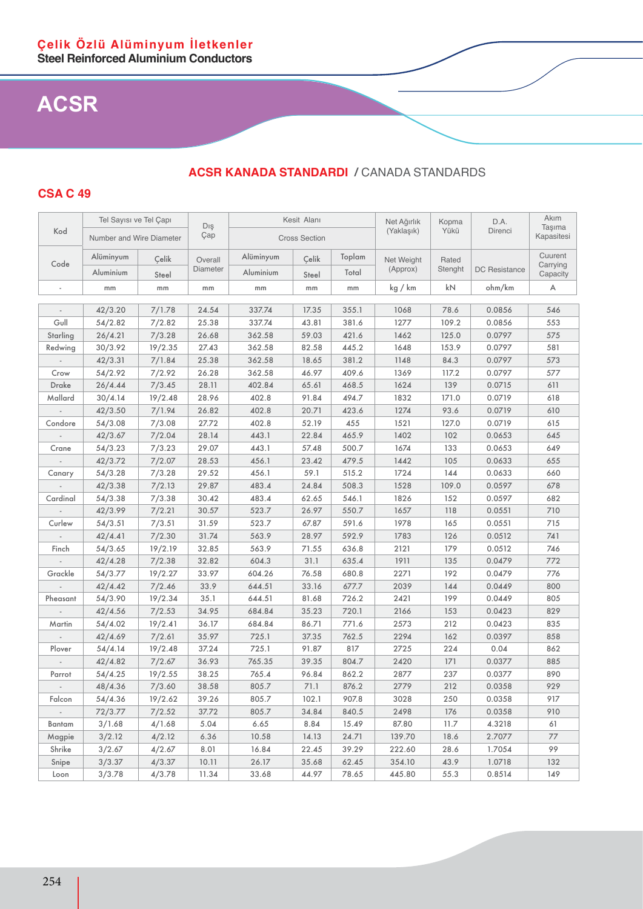**CSA C 49**

#### Kod Tel Sayısı ve Tel Çapı Dış Çap Kesit Alanı Net Ağırlık (Yaklaşık) Kopma Yükü D.A. Direnci Akım Taşıma<br>Kapasitesi Number and Wire Diameter  $\begin{vmatrix} \sqrt{a}p \\ \sqrt{a}p \end{vmatrix}$  Cross Section Code Alüminyum Çelik Overall **Diameter** Alüminyum Celik Toplam Net Weight (Approx) Rated<br>Stenght DC Resistance Cuurent Carrying<br>Canacity Aluminium Steel Platitude Aluminium Steel Total (Applox) Steright Du Hesistance Capacity - | mm | mm | mm | mm | mm | kg/km | kN | ohm/km | A - | 42/3.20 | 7/1.78 | 24.54 | 337.74 | 17.35 | 355.1 | 1068 | 78.6 | 0.0856 | 546 Gull | 54/2.82 | 7/2.82 | 25.38 | 337.74 | 43.81 | 381.6 | 1277 | 109.2 | 0.0856 | 553 Starling | 26/4.21 | 7/3.28 | 26.68 | 362.58 | 59.03 | 421.6 | 1462 | 125.0 | 0.0797 | 575 Redwing 30/3.92 19/2.35 27.43 362.58 82.58 445.2 1648 153.9 0.0797 581 - | 42/3.31 | 7/1.84 | 25.38 | 362.58 | 18.65 | 381.2 | 1148 | 84.3 | 0.0797 | 573 Crow 54/2.92 7/2.92 26.28 362.58 46.97 409.6 1369 117.2 0.0797 577 Drake | 26/4.44 | 7/3.45 | 28.11 | 402.84 | 65.61 | 468.5 | 1624 | 139 | 0.0715 | 611 Mallard | 30/4.14 | 19/2.48 | 28.96 | 402.8 | 91.84 | 494.7 | 1832 | 171.0 | 0.0719 | 618 - | 42/3.50 | 7/1.94 | 26.82 | 402.8 | 20.71 | 423.6 | 1274 | 93.6 | 0.0719 | 610 Condore | 54/3.08 | 7/3.08 | 27.72 | 402.8 | 52.19 | 455 | 1521 | 127.0 | 0.0719 | 615 - 42/3.67 7/2.04 28.14 443.1 22.84 465.9 1402 102 0.0653 645 Crane | 54/3.23 | 7/3.23 | 29.07 | 443.1 | 57.48 | 500.7 | 1674 | 133 | 0.0653 | 649 - | 42/3.72 | 7/2.07 | 28.53 | 456.1 | 23.42 | 479.5 | 1442 | 105 | 0.0633 | 655 Canary | 54/3.28 | 7/3.28 | 29.52 | 456.1 | 59.1 | 515.2 | 1724 | 144 | 0.0633 | 660 - | 42/3.38 | 7/2.13 | 29.87 | 483.4 | 24.84 | 508.3 | 1528 | 109.0 | 0.0597 | 678 Cardinal | 54/3.38 | 7/3.38 | 30.42 | 483.4 | 62.65 | 546.1 | 1826 | 152 | 0.0597 | 682 - | 42/3.99 | 7/2.21 | 30.57 | 523.7 | 126.97 | 50.7 | 1657 | 118 | 0.0551 | 710 Curlew | 54/3.51 | 7/3.51 | 31.59 | 523.7 | 67.87 | 591.6 | 1978 | 165 | 0.0551 | 715 - 42/4.41 7/2.30 31.74 563.9 28.97 592.9 1783 126 0.0512 741 Finch 54/3.65 19/2.19 32.85 563.9 71.55 636.8 2121 179 0.0512 746 - | 42/4.28 | 7/2.38 | 32.82 | 604.3 | 31.1 | 635.4 | 1911 | 135 | 0.0479 | 772 Grackle | 54/3.77 | 19/2.27 | 33.97 | 604.26 | 76.58 | 680.8 | 2271 | 192 | 0.0479 | 776 - | 42/4.42 | 7/2.46 | 33.9 | 644.51 | 33.16 | 677.7 | 2039 | 144 | 0.0449 | 800 Pheasant | 54/3.90 | 19/2.34 | 35.1 | 644.51 | 81.68 | 726.2 | 2421 | 199 | 0.0449 | 805 - | 42/4.56 | 7/2.53 | 34.95 | 684.84 | 35.23 | 720.1 | 2166 | 153 | 0.0423 | 829 Martin | 54/4.02 | 19/2.41 | 36.17 | 684.84 | 86.71 | 771.6 | 2573 | 212 | 0.0423 | 835 - | 42/4.69 | 7/2.61 | 35.97 | 725.1 | 37.35 | 762.5 | 2294 | 162 | 0.0397 | 858 Plover | 54/4.14 | 19/2.48 | 37.24 | 725.1 | 91.87 | 817 | 2725 | 224 | 0.04 | 862 - | 42/4.82 | 7/2.67 | 36.93 | 765.35 | 39.35 | 804.7 | 2420 | 171 | 0.0377 | 885 Parrot 54/4.25 19/2.55 38.25 765.4 96.84 862.2 2877 237 0.0377 890 - | 48/4.36 | 7/3.60 | 38.58 | 805.7 | 71.1 | 876.2 | 2779 | 212 | 0.0358 | 929 Falcon | 54/4.36 | 19/2.62 | 39.26 | 805.7 | 102.1 | 907.8 | 3028 | 250 | 0.0358 | 917 - | 72/3.77 | 7/2.52 | 37.72 | 805.7 | 34.84 | 840.5 | 2498 | 176 | 0.0358 | 910 Bantam | 3/1.68 | 4/1.68 | 5.04 | 6.65 | 8.84 | 15.49 | 87.80 | 11.7 | 4.3218 | 61 Magpie | 3/2.12 | 4/2.12 | 6.36 | 10.58 | 14.13 | 24.71 | 139.70 | 18.6 | 2.7077 | 77 Shrike 3/2.67 4/2.67 8.01 16.84 22.45 39.29 222.60 28.6 1.7054 99 Snipe | 3/3.37 | 4/3.37 | 10.11 | 26.17 | 35.68 | 62.45 | 354.10 | 43.9 | 1.0718 | 132 Loon 3/3.78 4/3.78 11.34 33.68 44.97 78.65 445.80 55.3 0.8514 149

### **ACSR KANADA STANDARDI /** CANADA STANDARDS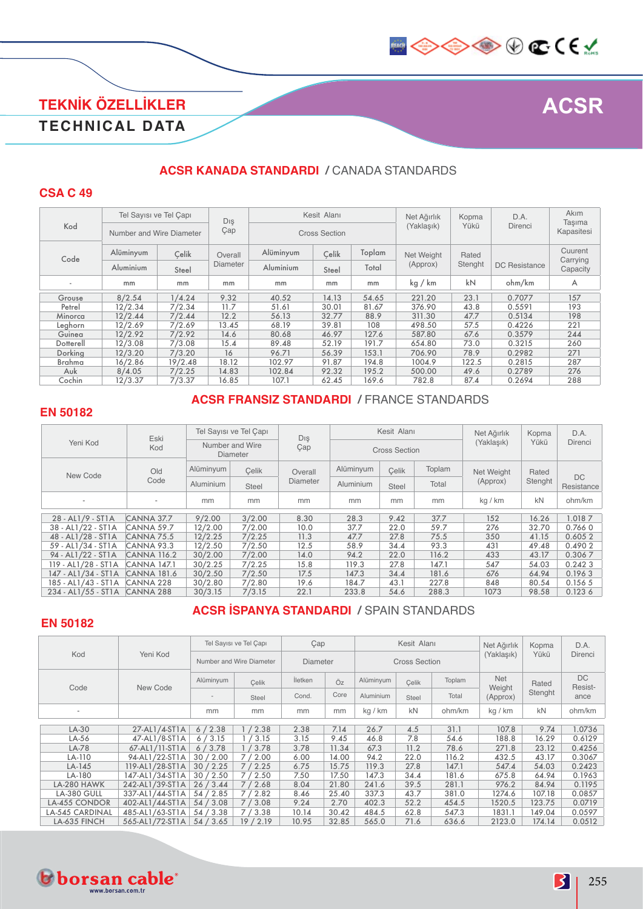

### **TEKNİK ÖZELLİKLER TECHNICAL DATA**

### **ACSR KANADA STANDARDI /** CANADA STANDARDS

#### **CSA C 49**

|                          | Tel Sayısı ve Tel Capı<br>Number and Wire Diameter |         | Dış      |           | Kesit Alanı          |        | Net Ağırlık | Kopma   | D.A.                 | Akım                 |
|--------------------------|----------------------------------------------------|---------|----------|-----------|----------------------|--------|-------------|---------|----------------------|----------------------|
| Kod                      |                                                    |         | Çap      |           | <b>Cross Section</b> |        | (Yaklaşık)  | Yükü    | Direnci              | Tasıma<br>Kapasitesi |
| Code                     | Alüminyum                                          | Celik   | Overall  | Alüminyum |                      | Toplam | Net Weight  | Rated   |                      | Cuurent<br>Carrying  |
|                          | Aluminium                                          | Steel   | Diameter | Aluminium | Steel                | Total  | (Approx)    | Stenght | <b>DC</b> Resistance | Capacity             |
| $\overline{\phantom{a}}$ | mm                                                 | mm      | mm       | mm        | mm                   | mm     | kg / km     | kN      | ohm/km               | A                    |
| Grouse                   | 8/2.54                                             | 1/4.24  | 9.32     | 40.52     | 14.13                | 54.65  | 221.20      | 23.1    | 0.7077               | 157                  |
| Petrel                   | 12/2.34                                            | 7/2.34  | 11.7     | 51.61     | 30.01                | 81.67  | 376.90      | 43.8    | 0.5591               | 193                  |
| Minorca                  | 12/2.44                                            | 7/2.44  | 12.2     | 56.13     | 32.77                | 88.9   | 311.30      | 47.7    | 0.5134               | 198                  |
| Leghorn                  | 12/2.69                                            | 7/2.69  | 13.45    | 68.19     | 39.81                | 108    | 498.50      | 57.5    | 0.4226               | 221                  |
| Guinea                   | 12/2.92                                            | 7/2.92  | 14.6     | 80.68     | 46.97                | 127.6  | 587.80      | 67.6    | 0.3579               | 244                  |
| Dotterell                | 12/3.08                                            | 7/3.08  | 15.4     | 89.48     | 52.19                | 191.7  | 654.80      | 73.0    | 0.3215               | 260                  |
| Dorking                  | 12/3.20                                            | 7/3.20  | 16       | 96.71     | 56.39                | 153.1  | 706.90      | 78.9    | 0.2982               | 271                  |
| Brahma                   | 16/2.86                                            | 19/2.48 | 18.12    | 102.97    | 91.87                | 194.8  | 1004.9      | 122.5   | 0.2815               | 287                  |
| Auk                      | 8/4.05                                             | 7/2.25  | 14.83    | 102.84    | 92.32                | 195.2  | 500.00      | 49.6    | 0.2789               | 276                  |
| Cochin                   | 12/3.37                                            | 7/3.37  | 16.85    | 107.1     | 62.45                | 169.6  | 782.8       | 87.4    | 0.2694               | 288                  |

#### **EN 50182**

#### **ACSR FRANSIZ STANDARDI /** FRANCE STANDARDS

|                     | Eski                     | Tel Sayısı ve Tel Çapı<br>Number and Wire<br><b>Diameter</b> |        | Dış      |                  | Kesit Alanı          |        | Net Ağırlık | Kopma            | D.A.              |
|---------------------|--------------------------|--------------------------------------------------------------|--------|----------|------------------|----------------------|--------|-------------|------------------|-------------------|
| Yeni Kod            | Kod                      |                                                              |        | Çap      |                  | <b>Cross Section</b> |        | (Yaklasık)  | Yükü             | Direnci           |
| New Code            | Old                      | Alüminyum                                                    | Celik  | Overall  | Alüminyum        | Celik                | Toplam | Net Weight  | Rated<br>Stenght |                   |
|                     | Code                     | Aluminium                                                    | Steel  | Diameter | <b>Aluminium</b> | Steel                | Total  | (Approx)    |                  | DC.<br>Resistance |
|                     | $\overline{\phantom{a}}$ | mm                                                           | mm     | mm       | mm               | mm                   | mm     | kg / km     | <b>kN</b>        | ohm/km            |
| 28 - AL1/9 - ST1A   | CANNA 37.7               | 9/2.00                                                       | 3/2.00 | 8.30     | 28.3             | 9.42                 | 37.7   | 152         | 16.26            | 1.0187            |
| 38 - AL1/22 - ST1A  | CANNA 59.7               | 12/2.00                                                      | 7/2.00 | 10.0     | 37.7             | 22.0                 | 59.7   | 276         | 32.70            | 0.7660            |
| 48 - AL1/28 - ST1A  | CANNA 75.5               | 12/2.25                                                      | 7/2.25 | 11.3     | 47.7             | 27.8                 | 75.5   | 350         | 41.15            | 0.6052            |
| 59 - AL1/34 - ST1A  | CANNA 93.3               | 12/2.50                                                      | 7/2.50 | 12.5     | 58.9             | 34.4                 | 93.3   | 431         | 49.48            | 0.4902            |
| 94 - AL1/22 - ST1A  | <b>CANNA 116.2</b>       | 30/2.00                                                      | 7/2.00 | 14.0     | 94.2             | 22.0                 | 116.2  | 433         | 43.17            | 0.3067            |
| 119 - AL1/28 - ST1A | <b>CANNA 147.1</b>       | 30/2.25                                                      | 7/2.25 | 15.8     | 119.3            | 27.8                 | 147.1  | 547         | 54.03            | 0.2423            |
| 147 - AL1/34 - ST1A | <b>CANNA 181.6</b>       | 30/2.50                                                      | 7/2.50 | 17.5     | 147.3            | 34.4                 | 181.6  | 676         | 64.94            | 0.1963            |
| 185 - AL1/43 - ST1A | CANNA 228                | 30/2.80                                                      | 7/2.80 | 19.6     | 184.7            | 43.1                 | 227.8  | 848         | 80.54            | 0.1565            |
| 234 - AL1/55 - ST1A | CANNA 288                | 30/3.15                                                      | 7/3.15 | 22.1     | 233.8            | 54.6                 | 288.3  | 1073        | 98.58            | 0.1236            |

### **ACSR İSPANYA STANDARDI /** SPAIN STANDARDS

### **EN 50182**

|                        |                 |                          | Tel Sayısı ve Tel Capı | Çap             |       |           | Kesit Alanı          |        | Net Ağırlık        | Kopma   | D.A.          |
|------------------------|-----------------|--------------------------|------------------------|-----------------|-------|-----------|----------------------|--------|--------------------|---------|---------------|
| Kod                    | Yeni Kod        | Number and Wire Diameter |                        | <b>Diameter</b> |       |           | <b>Cross Section</b> |        | (Yaklasık)         | Yükü    | Direnci       |
| Code                   | New Code        | Alüminyum                | Celik                  | İletken         | Öz    | Alüminyum | Celik                | Toplam | <b>Net</b>         | Rated   | DC<br>Resist- |
|                        |                 |                          | Steel                  | Cond.           | Core  | Aluminium | Steel                | Total  | Weight<br>(Approx) | Stenght | ance          |
| ۰                      |                 | mm                       | mm                     | mm              | mm    | kg / km   | kN                   | ohm/km | kg / km            | kN      | ohm/km        |
|                        |                 |                          |                        |                 |       |           |                      |        |                    |         |               |
| LA-30                  | 27-AL1/4-ST1A   | 6/2.38                   | 1/2.38                 | 2.38            | 7.14  | 26.7      | 4.5                  | 31.1   | 107.8              | 9.74    | 1.0736        |
| LA-56                  | 47-AL1/8-ST1A   | '3.15<br>6/              | 3.15                   | 3.15            | 9.45  | 46.8      | 7.8                  | 54.6   | 188.8              | 16.29   | 0.6129        |
| LA-78                  | 67-AL1/11-ST1A  | 6/3.78                   | 1/3.78                 | 3.78            | 11.34 | 67.3      | 11.2                 | 78.6   | 271.8              | 23.12   | 0.4256        |
| LA-110                 | 94-AL1/22-ST1A  | 30/2.00                  | 7/2.00                 | 6.00            | 14.00 | 94.2      | 22.0                 | 116.2  | 432.5              | 43.17   | 0.3067        |
| $LA-145$               | 119-AL1/28-ST1A | 30/2.25                  | 7/2.25                 | 6.75            | 15.75 | 119.3     | 27.8                 | 147.1  | 547.4              | 54.03   | 0.2423        |
| LA-180                 | 147-AL1/34-ST1A | 30 / 2.50                | 7/2.50                 | 7.50            | 17.50 | 147.3     | 34.4                 | 181.6  | 675.8              | 64.94   | 0.1963        |
| LA-280 HAWK            | 242-AL1/39-ST1A | 26/3.44                  | 7/2.68                 | 8.04            | 21.80 | 241.6     | 39.5                 | 281.1  | 976.2              | 84.94   | 0.1195        |
| LA-380 GULL            | 337-AL1/44-ST1A | 54/2.85                  | 7/2.82                 | 8.46            | 25.40 | 337.3     | 43.7                 | 381.0  | 1274.6             | 107.18  | 0.0857        |
| <b>LA-455 CONDOR</b>   | 402-AL1/44-ST1A | 54/3.08                  | 7/3.08                 | 9.24            | 2.70  | 402.3     | 52.2                 | 454.5  | 1520.5             | 123.75  | 0.0719        |
| <b>LA-545 CARDINAL</b> | 485-AL1/63-ST1A | 54/3.38                  | 7/3.38                 | 10.14           | 30.42 | 484.5     | 62.8                 | 547.3  | 1831.1             | 149.04  | 0.0597        |
| LA-635 FINCH           | 565-AL1/72-ST1A | 54/3.65                  | 19/2.19                | 10.95           | 32.85 | 565.0     | 71.6                 | 636.6  | 2123.0             | 174.14  | 0.0512        |

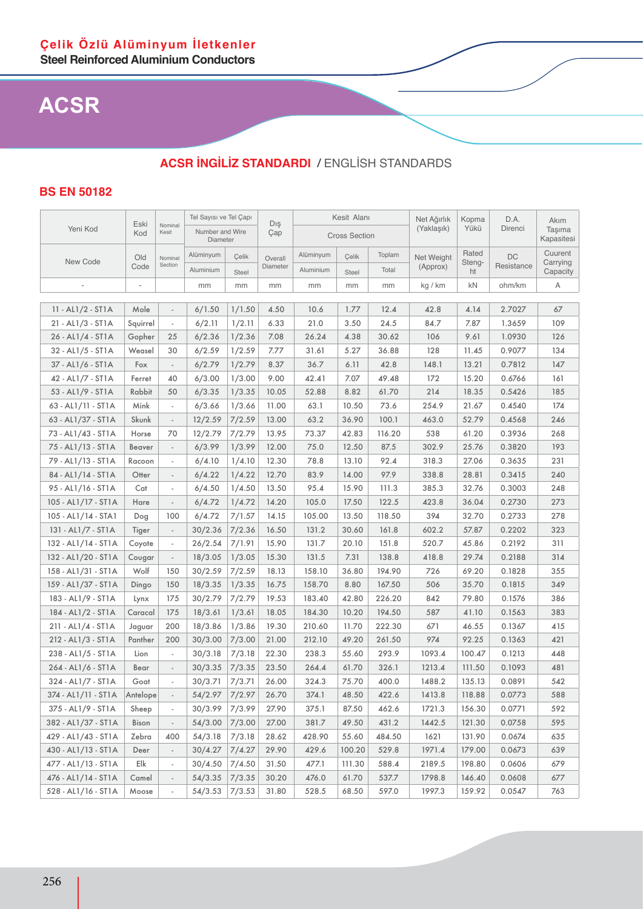### **ACSR İNGİLİZ STANDARDI /** ENGLİSH STANDARDS

### **BS EN 50182**

|                       |                          | Tel Sayısı ve Tel Capı   |                             | Dış          |          | Kesit Alanı |                      | Net Ağırlık | Kopma      | D.A.         | Akım       |                      |
|-----------------------|--------------------------|--------------------------|-----------------------------|--------------|----------|-------------|----------------------|-------------|------------|--------------|------------|----------------------|
| Yeni Kod              | Eski<br>Kod              | Nominal<br>Kesit         | Number and Wire<br>Diameter |              | Çap      |             | <b>Cross Section</b> |             | (Yaklaşık) | Yükü         | Direnci    | Taşıma<br>Kapasitesi |
|                       | Old                      | Nominal                  | Alüminyum                   | Çelik        | Overall  | Alüminyum   | Çelik                | Toplam      | Net Weight | Rated        | <b>DC</b>  | Cuurent              |
| New Code              | Code                     | Section                  | Aluminium                   | <b>Steel</b> | Diameter | Aluminium   | Steel                | Total       | (Approx)   | Steng-<br>ht | Resistance | Carrying<br>Capacity |
|                       | $\overline{\phantom{a}}$ |                          | mm                          | mm           | mm       | mm          | mm                   | mm          | kg / km    | kN           | ohm/km     | Α                    |
|                       |                          |                          |                             |              |          |             |                      |             |            |              |            |                      |
| 11 - AL1/2 - ST1A     | Mole                     | $\overline{a}$           | 6/1.50                      | 1/1.50       | 4.50     | 10.6        | 1.77                 | 12.4        | 42.8       | 4.14         | 2.7027     | 67                   |
| 21 - AL1/3 - ST1A     | Squirrel                 | $\overline{\phantom{a}}$ | 6/2.11                      | 1/2.11       | 6.33     | 21.0        | 3.50                 | 24.5        | 84.7       | 7.87         | 1.3659     | 109                  |
| 26 - AL1/4 - ST1A     | Gopher                   | 25                       | 6/2.36                      | 1/2.36       | 7.08     | 26.24       | 4.38                 | 30.62       | 106        | 9.61         | 1.0930     | 126                  |
| 32 - AL1/5 - ST1A     | Weasel                   | 30                       | 6/2.59                      | 1/2.59       | 7.77     | 31.61       | 5.27                 | 36.88       | 128        | 11.45        | 0.9077     | 134                  |
| 37 - AL1/6 - ST1A     | Fox                      | $\overline{\phantom{a}}$ | 6/2.79                      | 1/2.79       | 8.37     | 36.7        | 6.11                 | 42.8        | 148.1      | 13.21        | 0.7812     | 147                  |
| 42 - AL1/7 - ST1A     | Ferret                   | 40                       | 6/3.00                      | 1/3.00       | 9.00     | 42.41       | 7.07                 | 49.48       | 172        | 15.20        | 0.6766     | 161                  |
| 53 - AL1/9 - ST1A     | Rabbit                   | 50                       | 6/3.35                      | 1/3.35       | 10.05    | 52.88       | 8.82                 | 61.70       | 214        | 18.35        | 0.5426     | 185                  |
| 63 - AL1/11 - ST1A    | Mink                     | $\overline{\phantom{a}}$ | 6/3.66                      | 1/3.66       | 11.00    | 63.1        | 10.50                | 73.6        | 254.9      | 21.67        | 0.4540     | 174                  |
| 63 - AL1/37 - ST1A    | Skunk                    | $\overline{\phantom{a}}$ | 12/2.59                     | 7/2.59       | 13.00    | 63.2        | 36.90                | 100.1       | 463.0      | 52.79        | 0.4568     | 246                  |
| 73 - AL1/43 - ST1A    | Horse                    | 70                       | 12/2.79                     | 7/2.79       | 13.95    | 73.37       | 42.83                | 116.20      | 538        | 61.20        | 0.3936     | 268                  |
| 75 - AL1/13 - ST1A    | Beaver                   | $\overline{\phantom{a}}$ | 6/3.99                      | 1/3.99       | 12.00    | 75.0        | 12.50                | 87.5        | 302.9      | 25.76        | 0.3820     | 193                  |
| 79 - AL1/13 - ST1A    | Racoon                   | $\overline{\phantom{a}}$ | 6/4.10                      | 1/4.10       | 12.30    | 78.8        | 13.10                | 92.4        | 318.3      | 27.06        | 0.3635     | 231                  |
| 84 - AL1/14 - ST1A    | Otter                    | $\frac{1}{2}$            | 6/4.22                      | 1/4.22       | 12.70    | 83.9        | 14.00                | 97.9        | 338.8      | 28.81        | 0.3415     | 240                  |
| 95 - AL1/16 - ST1A    | Cat                      | $\overline{\phantom{a}}$ | 6/4.50                      | 1/4.50       | 13.50    | 95.4        | 15.90                | 111.3       | 385.3      | 32.76        | 0.3003     | 248                  |
| 105 - AL1/17 - ST1A   | Hare                     | $\overline{\phantom{a}}$ | 6/4.72                      | 1/4.72       | 14.20    | 105.0       | 17.50                | 122.5       | 423.8      | 36.04        | 0.2730     | 273                  |
| 105 - AL1/14 - STA1   | Dog                      | 100                      | 6/4.72                      | 7/1.57       | 14.15    | 105.00      | 13.50                | 118.50      | 394        | 32.70        | 0.2733     | 278                  |
| 131 - AL1/7 - ST1A    | Tiger                    | $\overline{\phantom{a}}$ | 30/2.36                     | 7/2.36       | 16.50    | 131.2       | 30.60                | 161.8       | 602.2      | 57.87        | 0.2202     | 323                  |
| 132 - AL1/14 - ST1A   | Coyote                   | $\overline{\phantom{a}}$ | 26/2.54                     | 7/1.91       | 15.90    | 131.7       | 20.10                | 151.8       | 520.7      | 45.86        | 0.2192     | 311                  |
| 132 - AL1/20 - ST1A   | Cougar                   | $\overline{\phantom{a}}$ | 18/3.05                     | 1/3.05       | 15.30    | 131.5       | 7.31                 | 138.8       | 418.8      | 29.74        | 0.2188     | 314                  |
| 158 - AL1/31 - ST1A   | Wolf                     | 150                      | 30/2.59                     | 7/2.59       | 18.13    | 158.10      | 36.80                | 194.90      | 726        | 69.20        | 0.1828     | 355                  |
| 159 - AL1/37 - ST1A   | Dingo                    | 150                      | 18/3.35                     | 1/3.35       | 16.75    | 158.70      | 8.80                 | 167.50      | 506        | 35.70        | 0.1815     | 349                  |
| 183 - AL1/9 - ST1A    | Lynx                     | 175                      | 30/2.79                     | 7/2.79       | 19.53    | 183.40      | 42.80                | 226.20      | 842        | 79.80        | 0.1576     | 386                  |
| 184 - AL1/2 - ST1A    | Caracal                  | 175                      | 18/3.61                     | 1/3.61       | 18.05    | 184.30      | 10.20                | 194.50      | 587        | 41.10        | 0.1563     | 383                  |
| 211 - AL1/4 - ST1A    | Jaguar                   | 200                      | 18/3.86                     | 1/3.86       | 19.30    | 210.60      | 11.70                | 222.30      | 671        | 46.55        | 0.1367     | 415                  |
| 212 - AL1/3 - ST1A    | Panther                  | 200                      | 30/3.00                     | 7/3.00       | 21.00    | 212.10      | 49.20                | 261.50      | 974        | 92.25        | 0.1363     | 421                  |
| 238 - AL1/5 - ST1A    | Lion                     | $\overline{\phantom{a}}$ | 30/3.18                     | 7/3.18       | 22.30    | 238.3       | 55.60                | 293.9       | 1093.4     | 100.47       | 0.1213     | 448                  |
| 264 - AL1/6 - ST1A    | Bear                     | $\overline{\phantom{a}}$ | 30/3.35                     | 7/3.35       | 23.50    | 264.4       | 61.70                | 326.1       | 1213.4     | 111.50       | 0.1093     | 481                  |
| 324 - AL1/7 - ST1A    | Goat                     | ÷,                       | 30/3.71                     | 7/3.71       | 26.00    | 324.3       | 75.70                | 400.0       | 1488.2     | 135.13       | 0.0891     | 542                  |
| 374 - AL1/11 - ST1A   | Antelope                 | $\overline{\phantom{a}}$ | 54/2.97                     | 7/2.97       | 26.70    | 374.1       | 48.50                | 422.6       | 1413.8     | 118.88       | 0.0773     | 588                  |
| 375 - AL1/9 - ST1A    | Sheep                    | $\overline{\phantom{a}}$ | 30/3.99                     | 7/3.99       | 27.90    | 375.1       | 87.50                | 462.6       | 1721.3     | 156.30       | 0.0771     | 592                  |
| 382 - AL1/37 - ST1A   | <b>Bison</b>             | $\overline{\phantom{a}}$ | 54/3.00                     | 7/3.00       | 27.00    | 381.7       | 49.50                | 431.2       | 1442.5     | 121.30       | 0.0758     | 595                  |
| 429 - AL1/43 - ST1A   | Zebra                    | 400                      | 54/3.18                     | 7/3.18       | 28.62    | 428.90      | 55.60                | 484.50      | 1621       | 131.90       | 0.0674     | 635                  |
| $430 - AL1/13 - ST1A$ | Deer                     | $\overline{\phantom{a}}$ | 30/4.27                     | 7/4.27       | 29.90    | 429.6       | 100.20               | 529.8       | 1971.4     | 179.00       | 0.0673     | 639                  |
| 477 - AL1/13 - ST1A   | Elk                      | $\overline{\phantom{a}}$ | 30/4.50                     | 7/4.50       | 31.50    | 477.1       | 111.30               | 588.4       | 2189.5     | 198.80       | 0.0606     | 679                  |
| 476 - AL1/14 - ST1A   | Camel                    | $\overline{\phantom{a}}$ | 54/3.35                     | 7/3.35       | 30.20    | 476.0       | 61.70                | 537.7       | 1798.8     | 146.40       | 0.0608     | 677                  |
| 528 - AL1/16 - ST1A   | Moose                    | $\overline{\phantom{a}}$ | 54/3.53                     | 7/3.53       | 31.80    | 528.5       | 68.50                | 597.0       | 1997.3     | 159.92       | 0.0547     | 763                  |